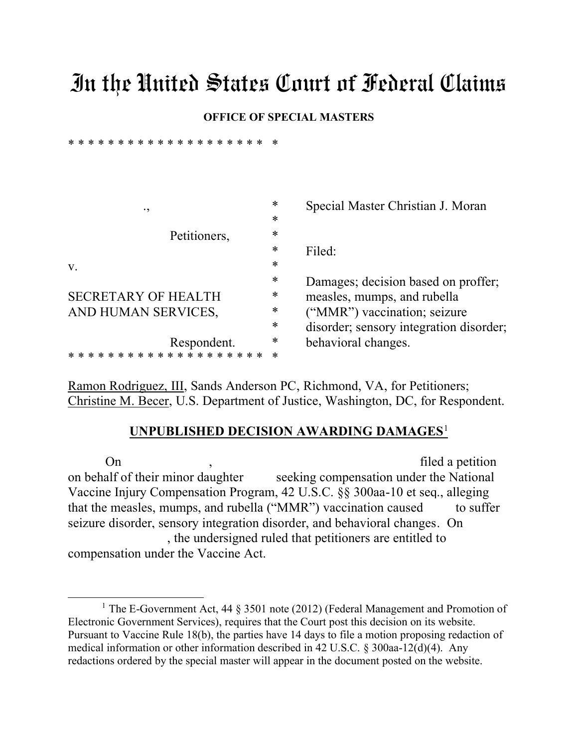## In the United States Court of Federal Claims

## **OFFICE OF SPECIAL MASTERS**

\* \* \* \* \* \* \* \* \* \* \* \* \* \* \* \* \* \* \* \* \*

| ٠,                                    | ∗      | Special Master Christian J. Moran       |
|---------------------------------------|--------|-----------------------------------------|
|                                       | $\ast$ |                                         |
| Petitioners,                          | *      |                                         |
|                                       | $\ast$ | Filed:                                  |
| V.                                    | $\ast$ |                                         |
|                                       | $\ast$ | Damages; decision based on proffer;     |
| <b>SECRETARY OF HEALTH</b>            | ∗      | measles, mumps, and rubella             |
| AND HUMAN SERVICES,                   | $\ast$ | ("MMR") vaccination; seizure            |
|                                       | $\ast$ | disorder; sensory integration disorder; |
| Respondent.                           | ∗      | behavioral changes.                     |
| * * * * * * * * * * * * * * * * * * * |        |                                         |

Ramon Rodriguez, III, Sands Anderson PC, Richmond, VA, for Petitioners; Christine M. Becer, U.S. Department of Justice, Washington, DC, for Respondent.

## **UNPUBLISHED DECISION AWARDING DAMAGES**<sup>1</sup>

On , the settlement of the settlement of the settlement of the settlement of the settlement of the settlement of the settlement of the settlement of the settlement of the settlement of the settlement of the settlement of t on behalf of their minor daughter seeking compensation under the National Vaccine Injury Compensation Program, 42 U.S.C. §§ 300aa-10 et seq., alleging that the measles, mumps, and rubella ("MMR") vaccination caused to suffer seizure disorder, sensory integration disorder, and behavioral changes. On , the undersigned ruled that petitioners are entitled to compensation under the Vaccine Act.

<sup>&</sup>lt;sup>1</sup> The E-Government Act, 44  $\S$  3501 note (2012) (Federal Management and Promotion of Electronic Government Services), requires that the Court post this decision on its website. Pursuant to Vaccine Rule 18(b), the parties have 14 days to file a motion proposing redaction of medical information or other information described in 42 U.S.C. § 300aa-12(d)(4). Any redactions ordered by the special master will appear in the document posted on the website.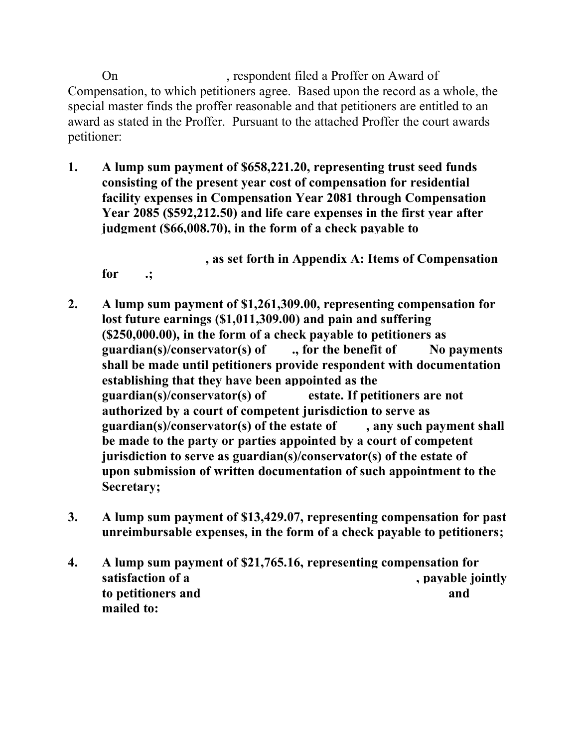On , respondent filed a Proffer on Award of Compensation, to which petitioners agree. Based upon the record as a whole, the special master finds the proffer reasonable and that petitioners are entitled to an award as stated in the Proffer. Pursuant to the attached Proffer the court awards petitioner:

**1. A lump sum payment of \$658,221.20, representing trust seed funds consisting of the present year cost of compensation for residential facility expenses in Compensation Year 2081 through Compensation Year 2085 (\$592,212.50) and life care expenses in the first year after judgment (\$66,008.70), in the form of a check payable to** 

**, as set forth in Appendix A: Items of Compensation for .;**

- **2. A lump sum payment of \$1,261,309.00, representing compensation for lost future earnings (\$1,011,309.00) and pain and suffering (\$250,000.00), in the form of a check payable to petitioners as guardian(s)/conservator(s) of ., for the benefit of No payments shall be made until petitioners provide respondent with documentation establishing that they have been appointed as the guardian(s)/conservator(s) of estate. If petitioners are not authorized by a court of competent jurisdiction to serve as guardian(s)/conservator(s) of the estate of , any such payment shall be made to the party or parties appointed by a court of competent jurisdiction to serve as guardian(s)/conservator(s) of the estate of upon submission of written documentation of such appointment to the Secretary;**
- **3. A lump sum payment of \$13,429.07, representing compensation for past unreimbursable expenses, in the form of a check payable to petitioners;**
- **4. A lump sum payment of \$21,765.16, representing compensation for**  satisfaction of a **, payable jointly to petitioners and**  and **and and and mailed to:**